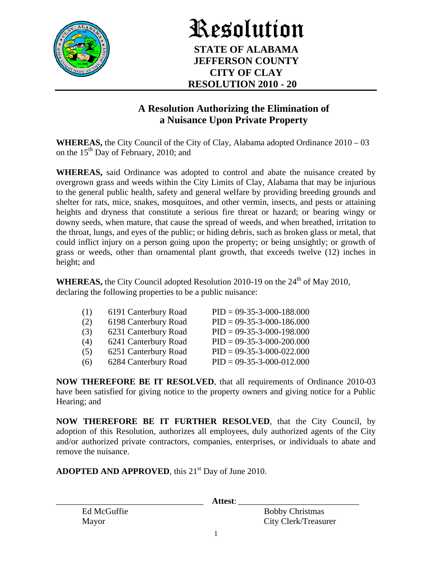

## Resolution **STATE OF ALABAMA JEFFERSON COUNTY CITY OF CLAY RESOLUTION 2010 - 20**

## **A Resolution Authorizing the Elimination of a Nuisance Upon Private Property**

**WHEREAS,** the City Council of the City of Clay, Alabama adopted Ordinance 2010 – 03 on the  $15<sup>th</sup>$  Day of February, 2010; and

**WHEREAS,** said Ordinance was adopted to control and abate the nuisance created by overgrown grass and weeds within the City Limits of Clay, Alabama that may be injurious to the general public health, safety and general welfare by providing breeding grounds and shelter for rats, mice, snakes, mosquitoes, and other vermin, insects, and pests or attaining heights and dryness that constitute a serious fire threat or hazard; or bearing wingy or downy seeds, when mature, that cause the spread of weeds, and when breathed, irritation to the throat, lungs, and eyes of the public; or hiding debris, such as broken glass or metal, that could inflict injury on a person going upon the property; or being unsightly; or growth of grass or weeds, other than ornamental plant growth, that exceeds twelve (12) inches in height; and

**WHEREAS,** the City Council adopted Resolution 2010-19 on the  $24<sup>th</sup>$  of May 2010, declaring the following properties to be a public nuisance:

| (1) | 6191 Canterbury Road | $PID = 09-35-3-000-188.000$ |
|-----|----------------------|-----------------------------|
| (2) | 6198 Canterbury Road | $PID = 09-35-3-000-186.000$ |
| (3) | 6231 Canterbury Road | $PID = 09-35-3-000-198.000$ |
| (4) | 6241 Canterbury Road | $PID = 09-35-3-000-200.000$ |
| (5) | 6251 Canterbury Road | $PID = 09-35-3-000-022.000$ |
| (6) | 6284 Canterbury Road | $PID = 09-35-3-000-012.000$ |
|     |                      |                             |

**NOW THEREFORE BE IT RESOLVED**, that all requirements of Ordinance 2010-03 have been satisfied for giving notice to the property owners and giving notice for a Public Hearing; and

**NOW THEREFORE BE IT FURTHER RESOLVED**, that the City Council, by adoption of this Resolution, authorizes all employees, duly authorized agents of the City and/or authorized private contractors, companies, enterprises, or individuals to abate and remove the nuisance.

ADOPTED AND APPROVED, this 21<sup>st</sup> Day of June 2010.

\_\_\_\_\_\_\_\_\_\_\_\_\_\_\_\_\_\_\_\_\_\_\_\_\_\_\_\_\_\_\_\_\_\_ **Attest**: \_\_\_\_\_\_\_\_\_\_\_\_\_\_\_\_\_\_\_\_\_\_\_\_\_\_\_\_